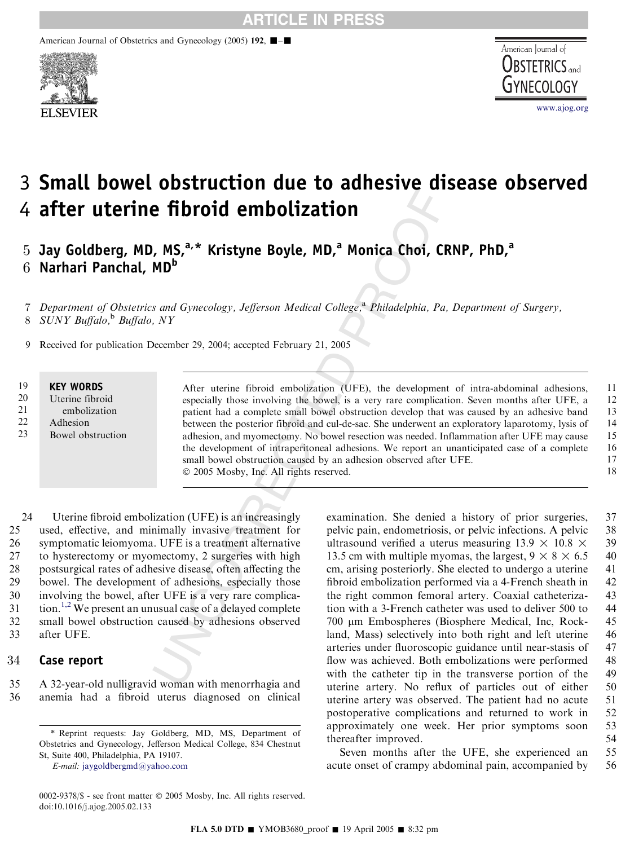American Journal of Obstetrics and Gynecology (2005) 192, **■**-■





# 3 Small bowel obstruction due to adhesive disease observed 4 after uterine fibroid embolization

 $5$  Jay Goldberg, MD, MS, $a, *$  Kristyne Boyle, MD, $a$  Monica Choi, CRNP, PhD, $a$  $6$  Narhari Panchal, MD<sup>b</sup>

7 Department of Obstetrics and Gynecology, Jefferson Medical College,<sup>a</sup> Philadelphia, Pa, Department of Surgery, 8 SUNY Buffalo,  $b$  Buffalo, NY

9 Received for publication December 29, 2004; accepted February 21, 2005

#### KEY WORDS 19

Uterine fibroid 20

- embolization 21
- Adhesion 22
- Bowel obstruction 23

**Example 18 and COVERT CONSUCTS (CONSUCTS)**<br> **EXAMPLE SETTER AND**<br> **EXAMPLE SETTER AND**<br> **EXAMPLE SETTER AND**<br> **EXAMPLE SETTER AND**<br> **EXAMPLE SETTER AND**<br> **EXAMPLE SETTER AND**<br> **EXAMPLE AND**<br> **EXAMPLE AND**<br> **EXAMPLE AND**<br> After uterine fibroid embolization (UFE), the development of intra-abdominal adhesions, especially those involving the bowel, is a very rare complication. Seven months after UFE, a patient had a complete small bowel obstruction develop that was caused by an adhesive band between the posterior fibroid and cul-de-sac. She underwent an exploratory laparotomy, lysis of adhesion, and myomectomy. No bowel resection was needed. Inflammation after UFE may cause the development of intraperitoneal adhesions. We report an unanticipated case of a complete small bowel obstruction caused by an adhesion observed after UFE. 2005 Mosby, Inc. All rights reserved. 11 12 13 14 15 16 17 18

24 Uterine fibroid embolization (UFE) is an increasingly 25 used, effective, and minimally invasive treatment for 26 symptomatic leiomyoma. UFE is a treatment alternative 27 to hysterectomy or myomectomy, 2 surgeries with high 28 postsurgical rates of adhesive disease, often affecting the 29 bowel. The development of adhesions, especially those 30 involving the bowel, after UFE is a very rare complica- $31$  tion.<sup>[1,2](#page-1-0)</sup> We present an unusual case of a delayed complete 32 small bowel obstruction caused by adhesions observed 33 after UFE.

### 34 Case report

35 A 32-year-old nulligravid woman with menorrhagia and 36 anemia had a fibroid uterus diagnosed on clinical examination. She denied a history of prior surgeries, 37 pelvic pain, endometriosis, or pelvic infections. A pelvic 38 ultrasound verified a uterus measuring  $13.9 \times 10.8 \times 39$ 13.5 cm with multiple myomas, the largest,  $9 \times 8 \times 6.5$  40 cm, arising posteriorly. She elected to undergo a uterine 41 fibroid embolization performed via a 4-French sheath in 42 the right common femoral artery. Coaxial catheteriza- 43 tion with a 3-French catheter was used to deliver 500 to 44 700 *m*m Embospheres (Biosphere Medical, Inc, Rock- 45 land, Mass) selectively into both right and left uterine 46 arteries under fluoroscopic guidance until near-stasis of 47 flow was achieved. Both embolizations were performed 48 with the catheter tip in the transverse portion of the 49 uterine artery. No reflux of particles out of either 50 uterine artery was observed. The patient had no acute 51 postoperative complications and returned to work in 52 approximately one week. Her prior symptoms soon 53 thereafter improved. 54

Seven months after the UFE, she experienced an 55 acute onset of crampy abdominal pain, accompanied by 56

<sup>\*</sup> Reprint requests: Jay Goldberg, MD, MS, Department of Obstetrics and Gynecology, Jefferson Medical College, 834 Chestnut St, Suite 400, Philadelphia, PA 19107.

E-mail: [jaygoldbergmd@yahoo.com](mailto:jaygoldbergmd@yahoo.com)